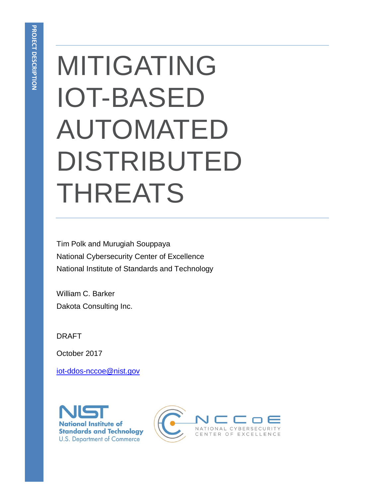# MITIGATING IOT-BASED AUTOMATED DISTRIBUTED THREATS

Tim Polk and Murugiah Souppaya National Cybersecurity Center of Excellence National Institute of Standards and Technology

William C. Barker Dakota Consulting Inc.

DRAFT

October 2017

[iot-ddos-nccoe@nist.gov](mailto:iot-ddos-nccoe@nist.gov)



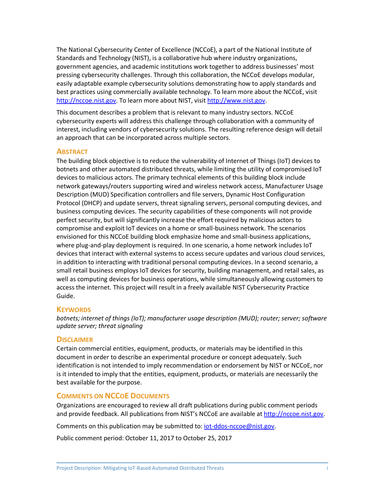The National Cybersecurity Center of Excellence (NCCoE), a part of the National Institute of Standards and Technology (NIST), is a collaborative hub where industry organizations, government agencies, and academic institutions work together to address businesses' most pressing cybersecurity challenges. Through this collaboration, the NCCoE develops modular, easily adaptable example cybersecurity solutions demonstrating how to apply standards and best practices using commercially available technology. To learn more about the NCCoE, visit [http://nccoe.nist.gov.](http://nccoe.nist.gov/) To learn more about NIST, visit [http://www.nist.gov.](http://www.nist.gov/)

This document describes a problem that is relevant to many industry sectors. NCCoE cybersecurity experts will address this challenge through collaboration with a community of interest, including vendors of cybersecurity solutions. The resulting reference design will detail an approach that can be incorporated across multiple sectors.

#### **ABSTRACT**

The building block objective is to reduce the vulnerability of Internet of Things (IoT) devices to botnets and other automated distributed threats, while limiting the utility of compromised IoT devices to malicious actors. The primary technical elements of this building block include network gateways/routers supporting wired and wireless network access, Manufacturer Usage Description (MUD) Specification controllers and file servers, Dynamic Host Configuration Protocol (DHCP) and update servers, threat signaling servers, personal computing devices, and business computing devices. The security capabilities of these components will not provide perfect security, but will significantly increase the effort required by malicious actors to compromise and exploit IoT devices on a home or small-business network. The scenarios envisioned for this NCCoE building block emphasize home and small-business applications, where plug-and-play deployment is required. In one scenario, a home network includes IoT devices that interact with external systems to access secure updates and various cloud services, in addition to interacting with traditional personal computing devices. In a second scenario, a small retail business employs IoT devices for security, building management, and retail sales, as well as computing devices for business operations, while simultaneously allowing customers to access the internet. This project will result in a freely available NIST Cybersecurity Practice Guide.

#### **KEYWORDS**

*botnets; internet of things (IoT); manufacturer usage description (MUD); router; server; software update server; threat signaling*

#### **DISCLAIMER**

Certain commercial entities, equipment, products, or materials may be identified in this document in order to describe an experimental procedure or concept adequately. Such identification is not intended to imply recommendation or endorsement by NIST or NCCoE, nor is it intended to imply that the entities, equipment, products, or materials are necessarily the best available for the purpose.

#### **COMMENTS ON NCCOE DOCUMENTS**

Organizations are encouraged to review all draft publications during public comment periods and provide feedback. All publications from NIST's NCCoE are available at [http://nccoe.nist.gov.](http://nccoe.nist.gov/)

Comments on this publication may be submitted to: [iot-ddos-nccoe@nist.gov.](mailto:iot-ddos-nccoe@nist.gov)

Public comment period: October 11, 2017 to October 25, 2017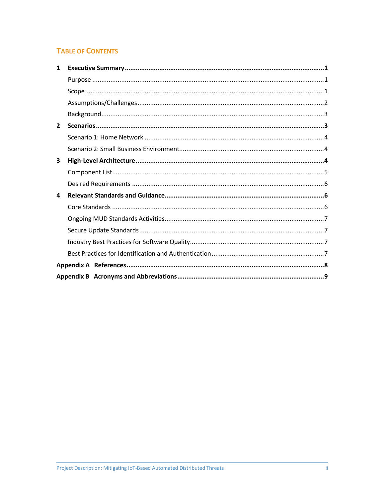## **TABLE OF CONTENTS**

| 1              |  |
|----------------|--|
|                |  |
|                |  |
|                |  |
|                |  |
| $\overline{2}$ |  |
|                |  |
|                |  |
| 3              |  |
|                |  |
|                |  |
| 4              |  |
|                |  |
|                |  |
|                |  |
|                |  |
|                |  |
|                |  |
|                |  |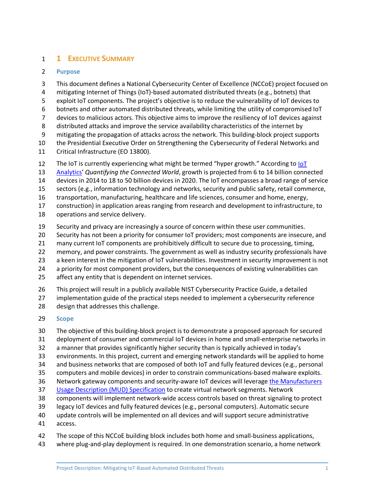## <span id="page-3-0"></span>**1 EXECUTIVE SUMMARY**

#### <span id="page-3-1"></span>**Purpose**

 This document defines a National Cybersecurity Center of Excellence (NCCoE) project focused on mitigating Internet of Things (IoT)-based automated distributed threats (e.g., botnets) that exploit IoT components. The project's objective is to reduce the vulnerability of IoT devices to botnets and other automated distributed threats, while limiting the utility of compromised IoT devices to malicious actors. This objective aims to improve the resiliency of IoT devices against distributed attacks and improve the service availability characteristics of the internet by mitigating the propagation of attacks across the network. This building-block project supports the Presidential Executive Order on Strengthening the Cybersecurity of Federal Networks and Critical Infrastructure (EO 13800). The IoT is currently experiencing what might be termed "hyper growth." According to [IoT](https://iot-analytics.com/) 

 [Analytics'](https://iot-analytics.com/) *Quantifying the Connected World*, growth is projected from 6 to 14 billion connected devices in 2014 to 18 to 50 billion devices in 2020. The IoT encompasses a broad range of service

sectors (e.g., information technology and networks, security and public safety, retail commerce,

transportation, manufacturing, healthcare and life sciences, consumer and home, energy,

construction) in application areas ranging from research and development to infrastructure, to

operations and service delivery.

Security and privacy are increasingly a source of concern within these user communities.

Security has not been a priority for consumer IoT providers; most components are insecure, and

many current IoT components are prohibitively difficult to secure due to processing, timing,

memory, and power constraints. The government as well as industry security professionals have

a keen interest in the mitigation of IoT vulnerabilities. Investment in security improvement is not

a priority for most component providers, but the consequences of existing vulnerabilities can

affect any entity that is dependent on internet services.

This project will result in a publicly available NIST Cybersecurity Practice Guide, a detailed

 implementation guide of the practical steps needed to implement a cybersecurity reference design that addresses this challenge.

#### <span id="page-3-2"></span>**Scope**

The objective of this building-block project is to demonstrate a proposed approach for secured

deployment of consumer and commercial IoT devices in home and small-enterprise networks in

a manner that provides significantly higher security than is typically achieved in today's

environments. In this project, current and emerging network standards will be applied to home

- and business networks that are composed of both IoT and fully featured devices (e.g., personal
- computers and mobile devices) in order to constrain communications-based malware exploits.
- Network gateway components and security-aware IoT devices will leverag[e the Manufacturers](https://tools.ietf.org/html/draft-ietf-opsawg-mud-08)
- [Usage Description \(MUD\) Specification](https://tools.ietf.org/html/draft-ietf-opsawg-mud-08) to create virtual network segments. Network
- components will implement network-wide access controls based on threat signaling to protect
- legacy IoT devices and fully featured devices (e.g., personal computers). Automatic secure
- update controls will be implemented on all devices and will support secure administrative
- access.
- 42 The scope of this NCCoE building block includes both home and small-business applications,
- where plug-and-play deployment is required. In one demonstration scenario, a home network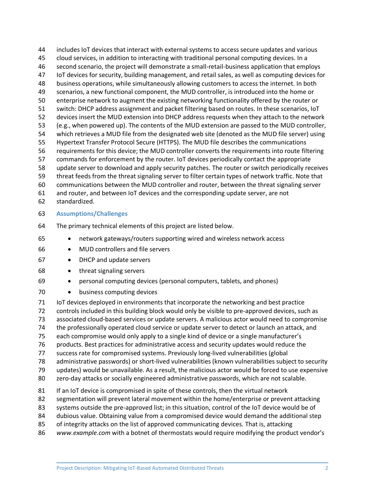includes IoT devices that interact with external systems to access secure updates and various cloud services, in addition to interacting with traditional personal computing devices. In a second scenario, the project will demonstrate a small-retail-business application that employs IoT devices for security, building management, and retail sales, as well as computing devices for business operations, while simultaneously allowing customers to access the internet. In both scenarios, a new functional component, the MUD controller, is introduced into the home or enterprise network to augment the existing networking functionality offered by the router or switch: DHCP address assignment and packet filtering based on routes. In these scenarios, IoT devices insert the MUD extension into DHCP address requests when they attach to the network (e.g., when powered up). The contents of the MUD extension are passed to the MUD controller, which retrieves a MUD file from the designated web site (denoted as the MUD file server) using Hypertext Transfer Protocol Secure (HTTPS). The MUD file describes the communications requirements for this device; the MUD controller converts the requirements into route filtering commands for enforcement by the router. IoT devices periodically contact the appropriate update server to download and apply security patches. The router or switch periodically receives threat feeds from the threat signaling server to filter certain types of network traffic. Note that communications between the MUD controller and router, between the threat signaling server and router, and between IoT devices and the corresponding update server, are not

- standardized.
- <span id="page-4-0"></span>**Assumptions/Challenges**
- The primary technical elements of this project are listed below.
- network gateways/routers supporting wired and wireless network access
- MUD controllers and file servers
- DHCP and update servers
- threat signaling servers
- personal computing devices (personal computers, tablets, and phones)
- business computing devices

 IoT devices deployed in environments that incorporate the networking and best practice controls included in this building block would only be visible to pre-approved devices, such as associated cloud-based services or update servers. A malicious actor would need to compromise the professionally operated cloud service or update server to detect or launch an attack, and each compromise would only apply to a single kind of device or a single manufacturer's products. Best practices for administrative access and security updates would reduce the success rate for compromised systems. Previously long-lived vulnerabilities (global administrative passwords) or short-lived vulnerabilities (known vulnerabilities subject to security updates) would be unavailable. As a result, the malicious actor would be forced to use expensive zero-day attacks or socially engineered administrative passwords, which are not scalable. If an IoT device is compromised in spite of these controls, then the virtual network segmentation will prevent lateral movement within the home/enterprise or prevent attacking 83 systems outside the pre-approved list; in this situation, control of the IoT device would be of dubious value. Obtaining value from a compromised device would demand the additional step

- of integrity attacks on the list of approved communicating devices. That is, attacking
- *www.example.com* with a botnet of thermostats would require modifying the product vendor's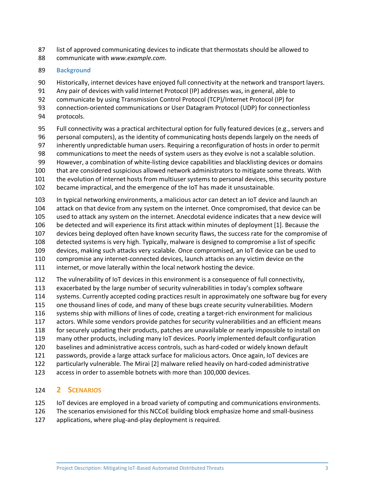- list of approved communicating devices to indicate that thermostats should be allowed to
- communicate with *www.example.com*.

#### <span id="page-5-0"></span>**Background**

Historically, internet devices have enjoyed full connectivity at the network and transport layers.

Any pair of devices with valid Internet Protocol (IP) addresses was, in general, able to

communicate by using Transmission Control Protocol (TCP)/Internet Protocol (IP) for

- connection-oriented communications or User Datagram Protocol (UDP) for connectionless
- protocols.
- Full connectivity was a practical architectural option for fully featured devices (e.g., servers and personal computers), as the identity of communicating hosts depends largely on the needs of
- inherently unpredictable human users. Requiring a reconfiguration of hosts in order to permit
- communications to meet the needs of system users as they evolve is not a scalable solution.
- However, a combination of white-listing device capabilities and blacklisting devices or domains
- that are considered suspicious allowed network administrators to mitigate some threats. With
- the evolution of internet hosts from multiuser systems to personal devices, this security posture
- became impractical, and the emergence of the IoT has made it unsustainable.
- In typical networking environments, a malicious actor can detect an IoT device and launch an attack on that device from any system on the internet. Once compromised, that device can be used to attack any system on the internet. Anecdotal evidence indicates that a new device will be detected and will experience its first attack within minutes of deployment [\[1\].](#page-10-1) Because the devices being deployed often have known security flaws, the success rate for the compromise of detected systems is very high. Typically, malware is designed to compromise a list of specific devices, making such attacks very scalable. Once compromised, an IoT device can be used to compromise any internet-connected devices, launch attacks on any victim device on the internet, or move laterally within the local network hosting the device.
- The vulnerability of IoT devices in this environment is a consequence of full connectivity,
- exacerbated by the large number of security vulnerabilities in today's complex software
- systems. Currently accepted coding practices result in approximately one software bug for every
- one thousand lines of code, and many of these bugs create security vulnerabilities. Modern
- systems ship with millions of lines of code, creating a target-rich environment for malicious
- actors. While some vendors provide patches for security vulnerabilities and an efficient means for securely updating their products, patches are unavailable or nearly impossible to install on
- many other products, including many IoT devices. Poorly implemented default configuration
- baselines and administrative access controls, such as hard-coded or widely known default
- passwords, provide a large attack surface for malicious actors. Once again, IoT devices are
- particularly vulnerable. The Mirai [\[2\]](#page-10-2) malware relied heavily on hard-coded administrative
- access in order to assemble botnets with more than 100,000 devices.

## <span id="page-5-1"></span>**2 SCENARIOS**

- IoT devices are employed in a broad variety of computing and communications environments.
- The scenarios envisioned for this NCCoE building block emphasize home and small-business
- applications, where plug-and-play deployment is required.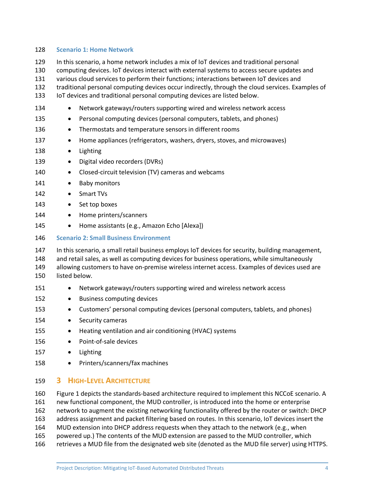#### <span id="page-6-0"></span>128 **Scenario 1: Home Network**

- 129 In this scenario, a home network includes a mix of IoT devices and traditional personal
- 130 computing devices. IoT devices interact with external systems to access secure updates and
- 131 various cloud services to perform their functions; interactions between IoT devices and
- 132 traditional personal computing devices occur indirectly, through the cloud services. Examples of
- 133 IoT devices and traditional personal computing devices are listed below.
- 134 Network gateways/routers supporting wired and wireless network access
- 135 Personal computing devices (personal computers, tablets, and phones)
- 136 Thermostats and temperature sensors in different rooms
- 137 Home appliances (refrigerators, washers, dryers, stoves, and microwaves)
- 138 Lighting
- 139 Digital video recorders (DVRs)
- 140 Closed-circuit television (TV) cameras and webcams
- 141 Baby monitors
- 142 Smart TVs
- 143 Set top boxes
- 144 Home printers/scanners
- 145 Home assistants (e.g., Amazon Echo [Alexa])
- <span id="page-6-1"></span>146 **Scenario 2: Small Business Environment**
- 147 In this scenario, a small retail business employs IoT devices for security, building management,
- 148 and retail sales, as well as computing devices for business operations, while simultaneously 149 allowing customers to have on-premise wireless internet access. Examples of devices used are 150 listed below.
- 151 Network gateways/routers supporting wired and wireless network access
- 152 Business computing devices
- 153 Customers' personal computing devices (personal computers, tablets, and phones)
- 154 Security cameras
- 155 Heating ventilation and air conditioning (HVAC) systems
- 156 Point-of-sale devices
- 157 Lighting
- 158 Printers/scanners/fax machines

#### <span id="page-6-2"></span>159 **3 HIGH-LEVEL ARCHITECTURE**

- 160 [Figure 1](#page-7-1) depicts the standards-based architecture required to implement this NCCoE scenario. A 161 new functional component, the MUD controller, is introduced into the home or enterprise 162 network to augment the existing networking functionality offered by the router or switch: DHCP
- 163 address assignment and packet filtering based on routes. In this scenario, IoT devices insert the
- 164 MUD extension into DHCP address requests when they attach to the network (e.g., when
- 165 powered up.) The contents of the MUD extension are passed to the MUD controller, which
- 166 retrieves a MUD file from the designated web site (denoted as the MUD file server) using HTTPS.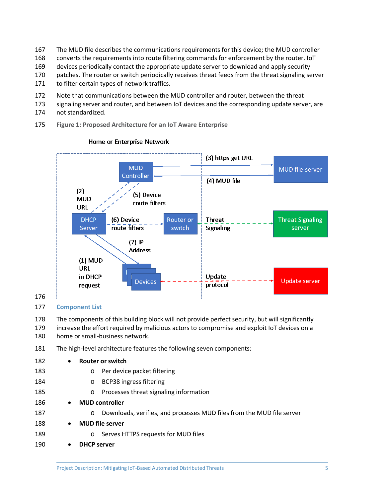- The MUD file describes the communications requirements for this device; the MUD controller
- converts the requirements into route filtering commands for enforcement by the router. IoT
- devices periodically contact the appropriate update server to download and apply security
- patches. The router or switch periodically receives threat feeds from the threat signaling server
- 171 to filter certain types of network traffics.
- Note that communications between the MUD controller and router, between the threat
- signaling server and router, and between IoT devices and the corresponding update server, are
- not standardized.
- <span id="page-7-1"></span>**Figure 1: Proposed Architecture for an IoT Aware Enterprise**



#### Home or Enterprise Network

## <span id="page-7-0"></span>**Component List**

 The components of this building block will not provide perfect security, but will significantly increase the effort required by malicious actors to compromise and exploit IoT devices on a home or small-business network.

The high-level architecture features the following seven components:

| 182 | $\bullet$ | <b>Router or switch</b>                                                          |
|-----|-----------|----------------------------------------------------------------------------------|
| 183 |           | Per device packet filtering<br>$\circ$                                           |
| 184 |           | BCP38 ingress filtering<br>$\circ$                                               |
| 185 |           | Processes threat signaling information<br>$\circ$                                |
| 186 | $\bullet$ | <b>MUD</b> controller                                                            |
| 187 |           | Downloads, verifies, and processes MUD files from the MUD file server<br>$\circ$ |
| 188 | $\bullet$ | <b>MUD</b> file server                                                           |
| 189 |           | Serves HTTPS requests for MUD files<br>$\circ$                                   |
| 190 | $\bullet$ | <b>DHCP</b> server                                                               |
|     |           |                                                                                  |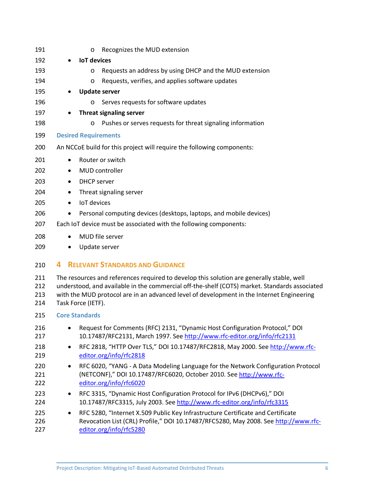<span id="page-8-2"></span><span id="page-8-1"></span><span id="page-8-0"></span>

| Recognizes the MUD extension<br>$\circ$                                                                                                                                                                                                                                                                                                   |  |  |  |
|-------------------------------------------------------------------------------------------------------------------------------------------------------------------------------------------------------------------------------------------------------------------------------------------------------------------------------------------|--|--|--|
| <b>IoT</b> devices                                                                                                                                                                                                                                                                                                                        |  |  |  |
| Requests an address by using DHCP and the MUD extension<br>O                                                                                                                                                                                                                                                                              |  |  |  |
| Requests, verifies, and applies software updates<br>O                                                                                                                                                                                                                                                                                     |  |  |  |
| <b>Update server</b>                                                                                                                                                                                                                                                                                                                      |  |  |  |
| Serves requests for software updates<br>O                                                                                                                                                                                                                                                                                                 |  |  |  |
| Threat signaling server                                                                                                                                                                                                                                                                                                                   |  |  |  |
| Pushes or serves requests for threat signaling information<br>$\circ$                                                                                                                                                                                                                                                                     |  |  |  |
| <b>Desired Requirements</b>                                                                                                                                                                                                                                                                                                               |  |  |  |
| An NCCoE build for this project will require the following components:                                                                                                                                                                                                                                                                    |  |  |  |
| Router or switch<br>$\bullet$                                                                                                                                                                                                                                                                                                             |  |  |  |
| MUD controller<br>٠                                                                                                                                                                                                                                                                                                                       |  |  |  |
| <b>DHCP</b> server<br>٠                                                                                                                                                                                                                                                                                                                   |  |  |  |
| Threat signaling server<br>$\bullet$                                                                                                                                                                                                                                                                                                      |  |  |  |
| <b>IoT</b> devices<br>$\bullet$                                                                                                                                                                                                                                                                                                           |  |  |  |
| Personal computing devices (desktops, laptops, and mobile devices)<br>٠                                                                                                                                                                                                                                                                   |  |  |  |
| Each IoT device must be associated with the following components:                                                                                                                                                                                                                                                                         |  |  |  |
| MUD file server<br>$\bullet$                                                                                                                                                                                                                                                                                                              |  |  |  |
| Update server                                                                                                                                                                                                                                                                                                                             |  |  |  |
| <b>RELEVANT STANDARDS AND GUIDANCE</b><br>4                                                                                                                                                                                                                                                                                               |  |  |  |
| The resources and references required to develop this solution are generally stable, well<br>211<br>understood, and available in the commercial off-the-shelf (COTS) market. Standards associated<br>212<br>with the MUD protocol are in an advanced level of development in the Internet Engineering<br>213<br>Task Force (IETF).<br>214 |  |  |  |
| <b>Core Standards</b>                                                                                                                                                                                                                                                                                                                     |  |  |  |
| Request for Comments (RFC) 2131, "Dynamic Host Configuration Protocol," DOI<br>10.17487/RFC2131, March 1997. See http://www.rfc-editor.org/info/rfc2131                                                                                                                                                                                   |  |  |  |
| RFC 2818, "HTTP Over TLS," DOI 10.17487/RFC2818, May 2000. See http://www.rfc-<br>$\bullet$<br>editor.org/info/rfc2818                                                                                                                                                                                                                    |  |  |  |
| RFC 6020, "YANG - A Data Modeling Language for the Network Configuration Protocol<br>٠<br>(NETCONF)," DOI 10.17487/RFC6020, October 2010. See http://www.rfc-<br>editor.org/info/rfc6020                                                                                                                                                  |  |  |  |
| RFC 3315, "Dynamic Host Configuration Protocol for IPv6 (DHCPv6)," DOI<br>٠<br>10.17487/RFC3315, July 2003. See http://www.rfc-editor.org/info/rfc3315                                                                                                                                                                                    |  |  |  |
| RFC 5280, "Internet X.509 Public Key Infrastructure Certificate and Certificate<br>٠<br>Revocation List (CRL) Profile," DOI 10.17487/RFC5280, May 2008. See http://www.rfc-<br>editor.org/info/rfc5280                                                                                                                                    |  |  |  |
|                                                                                                                                                                                                                                                                                                                                           |  |  |  |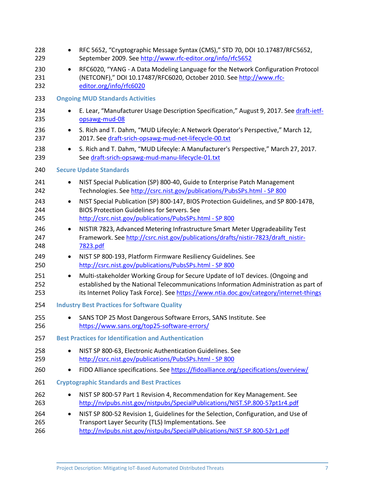<span id="page-9-3"></span><span id="page-9-2"></span><span id="page-9-1"></span><span id="page-9-0"></span>

| 228<br>229        | ٠                                                   | RFC 5652, "Cryptographic Message Syntax (CMS)," STD 70, DOI 10.17487/RFC5652,<br>September 2009. See http://www.rfc-editor.org/info/rfc5652                                                                                                                      |  |
|-------------------|-----------------------------------------------------|------------------------------------------------------------------------------------------------------------------------------------------------------------------------------------------------------------------------------------------------------------------|--|
| 230<br>231<br>232 | $\bullet$                                           | RFC6020, "YANG - A Data Modeling Language for the Network Configuration Protocol<br>(NETCONF)," DOI 10.17487/RFC6020, October 2010. See http://www.rfc-<br>editor.org/info/rfc6020                                                                               |  |
| 233               | <b>Ongoing MUD Standards Activities</b>             |                                                                                                                                                                                                                                                                  |  |
| 234<br>235        |                                                     | E. Lear, "Manufacturer Usage Description Specification," August 9, 2017. See draft-ietf-<br>opsawg-mud-08                                                                                                                                                        |  |
| 236<br>237        |                                                     | S. Rich and T. Dahm, "MUD Lifecyle: A Network Operator's Perspective," March 12,<br>2017. See draft-srich-opsawg-mud-net-lifecycle-00.txt                                                                                                                        |  |
| 238<br>239        | $\bullet$                                           | S. Rich and T. Dahm, "MUD Lifecyle: A Manufacturer's Perspective," March 27, 2017.<br>See draft-srich-opsawg-mud-manu-lifecycle-01.txt                                                                                                                           |  |
| 240               | <b>Secure Update Standards</b>                      |                                                                                                                                                                                                                                                                  |  |
| 241<br>242        |                                                     | NIST Special Publication (SP) 800-40, Guide to Enterprise Patch Management<br>Technologies. See http://csrc.nist.gov/publications/PubsSPs.html - SP 800                                                                                                          |  |
| 243<br>244<br>245 | $\bullet$                                           | NIST Special Publication (SP) 800-147, BIOS Protection Guidelines, and SP 800-147B,<br><b>BIOS Protection Guidelines for Servers. See</b><br>http://csrc.nist.gov/publications/PubsSPs.html - SP 800                                                             |  |
| 246<br>247<br>248 | $\bullet$                                           | NISTIR 7823, Advanced Metering Infrastructure Smart Meter Upgradeability Test<br>Framework. See http://csrc.nist.gov/publications/drafts/nistir-7823/draft_nistir-<br>7823.pdf                                                                                   |  |
| 249<br>250        | ٠                                                   | NIST SP 800-193, Platform Firmware Resiliency Guidelines. See<br>http://csrc.nist.gov/publications/PubsSPs.html - SP 800                                                                                                                                         |  |
| 251<br>252<br>253 | $\bullet$                                           | Multi-stakeholder Working Group for Secure Update of IoT devices. (Ongoing and<br>established by the National Telecommunications Information Administration as part of<br>its Internet Policy Task Force). See https://www.ntia.doc.gov/category/internet-things |  |
| 254               | <b>Industry Best Practices for Software Quality</b> |                                                                                                                                                                                                                                                                  |  |
| 255<br>256        |                                                     | SANS TOP 25 Most Dangerous Software Errors, SANS Institute. See<br>https://www.sans.org/top25-software-errors/                                                                                                                                                   |  |
| 257               |                                                     | <b>Best Practices for Identification and Authentication</b>                                                                                                                                                                                                      |  |
| 258<br>259        | ٠                                                   | NIST SP 800-63, Electronic Authentication Guidelines. See<br>http://csrc.nist.gov/publications/PubsSPs.html - SP 800                                                                                                                                             |  |
| 260               | $\bullet$                                           | FIDO Alliance specifications. See https://fidoalliance.org/specifications/overview/                                                                                                                                                                              |  |
| 261               |                                                     | <b>Cryptographic Standards and Best Practices</b>                                                                                                                                                                                                                |  |
| 262<br>263        | $\bullet$                                           | NIST SP 800-57 Part 1 Revision 4, Recommendation for Key Management. See<br>http://nvlpubs.nist.gov/nistpubs/SpecialPublications/NIST.SP.800-57pt1r4.pdf                                                                                                         |  |
| 264<br>265<br>266 | $\bullet$                                           | NIST SP 800-52 Revision 1, Guidelines for the Selection, Configuration, and Use of<br>Transport Layer Security (TLS) Implementations. See<br>http://nvlpubs.nist.gov/nistpubs/SpecialPublications/NIST.SP.800-52r1.pdf                                           |  |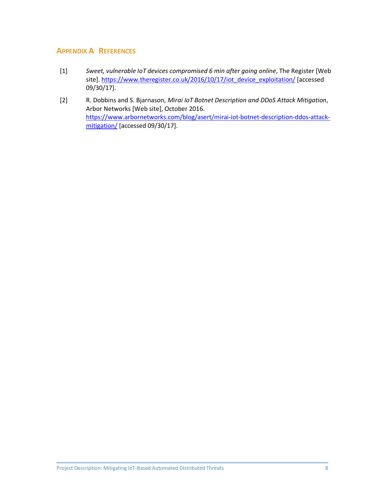## <span id="page-10-0"></span>**APPENDIX A REFERENCES**

- <span id="page-10-1"></span>[1] *Sweet, vulnerable IoT devices compromised 6 min after going online*, The Register [Web site][. https://www.theregister.co.uk/2016/10/17/iot\\_device\\_exploitation/](https://www.theregister.co.uk/2016/10/17/iot_device_exploitation/) [accessed 09/30/17].
- <span id="page-10-2"></span>[2] R. Dobbins and S. Bjarnason, *Mirai IoT Botnet Description and DDoS Attack Mitigation*, Arbor Networks [Web site], October 2016. [https://www.arbornetworks.com/blog/asert/mirai-iot-botnet-description-ddos-attack](https://www.arbornetworks.com/blog/asert/mirai-iot-botnet-description-ddos-attack-mitigation/)[mitigation/](https://www.arbornetworks.com/blog/asert/mirai-iot-botnet-description-ddos-attack-mitigation/) [accessed 09/30/17].